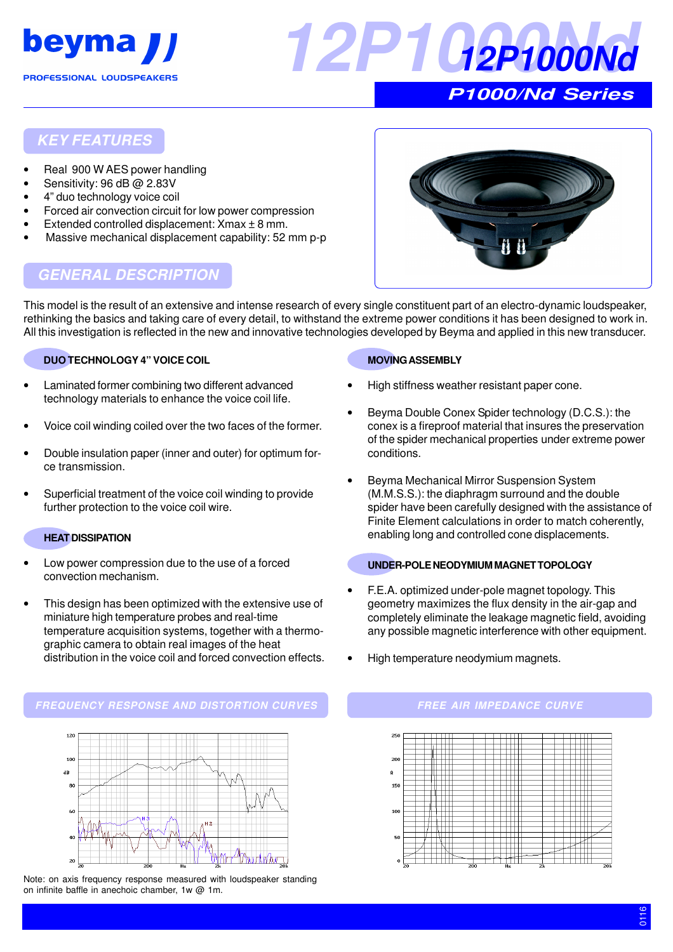



## **KEY FEATURES**

- Real 900 W AES power handling
- Sensitivity: 96 dB @ 2.83V
- 4" duo technology voice coil
- Forced air convection circuit for low power compression
- Extended controlled displacement:  $X$ max  $\pm$  8 mm.
- Massive mechanical displacement capability: 52 mm p-p



# **GENERAL DESCRIPTION**

This model is the result of an extensive and intense research of every single constituent part of an electro-dynamic loudspeaker, rethinking the basics and taking care of every detail, to withstand the extreme power conditions it has been designed to work in. All this investigation is reflected in the new and innovative technologies developed by Beyma and applied in this new transducer.

#### **DUO TECHNOLOGY 4" VOICE COIL**

- Laminated former combining two different advanced technology materials to enhance the voice coil life.
- Voice coil winding coiled over the two faces of the former.
- Double insulation paper (inner and outer) for optimum force transmission.
- Superficial treatment of the voice coil winding to provide further protection to the voice coil wire.

#### **HEAT DISSIPATION**

- Low power compression due to the use of a forced convection mechanism.
- This design has been optimized with the extensive use of miniature high temperature probes and real-time temperature acquisition systems, together with a thermographic camera to obtain real images of the heat distribution in the voice coil and forced convection effects.

# **MOVING ASSEMBLY**

- High stiffness weather resistant paper cone.
- Beyma Double Conex Spider technology (D.C.S.): the conex is a fireproof material that insures the preservation of the spider mechanical properties under extreme power conditions.
- Beyma Mechanical Mirror Suspension System (M.M.S.S.): the diaphragm surround and the double spider have been carefully designed with the assistance of Finite Element calculations in order to match coherently, enabling long and controlled cone displacements.

#### **UNDER-POLE NEODYMIUM MAGNET TOPOLOGY**

- F.E.A. optimized under-pole magnet topology. This geometry maximizes the flux density in the air-gap and completely eliminate the leakage magnetic field, avoiding any possible magnetic interference with other equipment.
- High temperature neodymium magnets.

#### **FREQUENCY RESPONSE AND DISTORTION CURVES FREE AIR IMPEDANCE CURVE**



Note: on axis frequency response measured with loudspeaker standing on infinite baffle in anechoic chamber, 1w @ 1m.